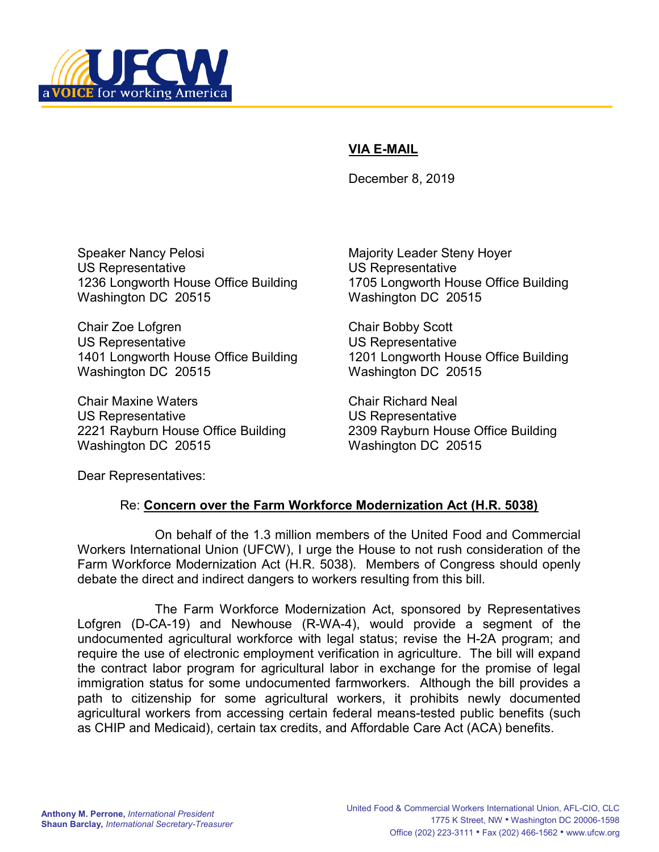

## VIA E-MAIL

December 8, 2019

Speaker Nancy Pelosi **Magority Leader Steny Hoyer** Majority Leader Steny Hoyer US Representative US Representative 1236 Longworth House Office Building 1705 Longworth House Office Building Washington DC 20515 Washington DC 20515

Chair Zoe Lofgren Chair Bobby Scott US Representative US Representative 1401 Longworth House Office Building 1201 Longworth House Office Building Washington DC 20515 Washington DC 20515

Chair Maxine Waters Chair Richard Neal US Representative US Representative 2221 Rayburn House Office Building 2309 Rayburn House Office Building Washington DC 20515 Washington DC 20515

Dear Representatives:

## Re: Concern over the Farm Workforce Modernization Act (H.R. 5038)

 On behalf of the 1.3 million members of the United Food and Commercial Workers International Union (UFCW), I urge the House to not rush consideration of the Farm Workforce Modernization Act (H.R. 5038). Members of Congress should openly debate the direct and indirect dangers to workers resulting from this bill.

The Farm Workforce Modernization Act, sponsored by Representatives Lofgren (D-CA-19) and Newhouse (R-WA-4), would provide a segment of the undocumented agricultural workforce with legal status; revise the H-2A program; and require the use of electronic employment verification in agriculture. The bill will expand the contract labor program for agricultural labor in exchange for the promise of legal immigration status for some undocumented farmworkers. Although the bill provides a path to citizenship for some agricultural workers, it prohibits newly documented agricultural workers from accessing certain federal means-tested public benefits (such as CHIP and Medicaid), certain tax credits, and Affordable Care Act (ACA) benefits.